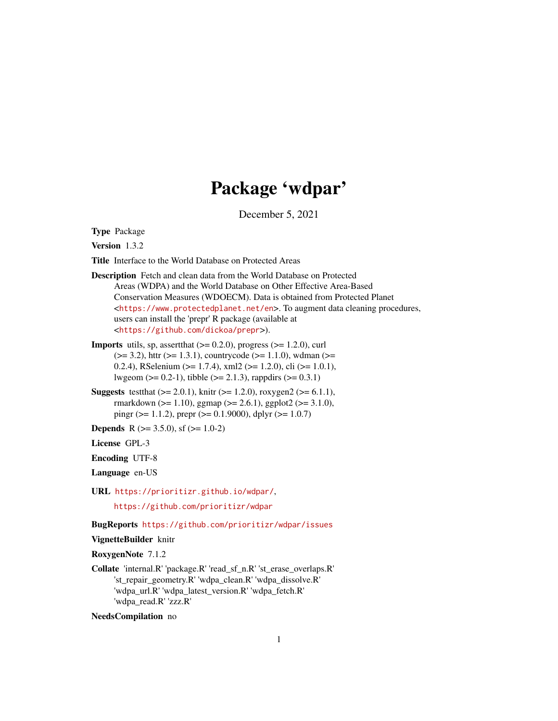# Package 'wdpar'

December 5, 2021

<span id="page-0-0"></span>Type Package

Version 1.3.2

Title Interface to the World Database on Protected Areas

- Description Fetch and clean data from the World Database on Protected Areas (WDPA) and the World Database on Other Effective Area-Based Conservation Measures (WDOECM). Data is obtained from Protected Planet <<https://www.protectedplanet.net/en>>. To augment data cleaning procedures, users can install the 'prepr' R package (available at <<https://github.com/dickoa/prepr>>).
- **Imports** utils, sp, assert that  $(>= 0.2.0)$ , progress  $(>= 1.2.0)$ , curl  $(>= 3.2)$ , httr  $(>= 1.3.1)$ , countrycode  $(>= 1.1.0)$ , wdman  $(>= 1.1.0)$ 0.2.4), RSelenium ( $>= 1.7.4$ ), xml2 ( $>= 1.2.0$ ), cli ( $>= 1.0.1$ ), lwgeom ( $> = 0.2-1$ ), tibble ( $> = 2.1.3$ ), rappdirs ( $> = 0.3.1$ )
- **Suggests** test that  $(>= 2.0.1)$ , knitr  $(>= 1.2.0)$ , roxygen2  $(>= 6.1.1)$ , rmarkdown ( $>= 1.10$ ), ggmap ( $>= 2.6.1$ ), ggplot2 ( $>= 3.1.0$ ), pingr ( $>= 1.1.2$ ), prepr ( $>= 0.1.9000$ ), dplyr ( $>= 1.0.7$ )
- **Depends** R ( $>= 3.5.0$ ), sf ( $>= 1.0-2$ )

License GPL-3

Encoding UTF-8

Language en-US

URL <https://prioritizr.github.io/wdpar/>,

<https://github.com/prioritizr/wdpar>

BugReports <https://github.com/prioritizr/wdpar/issues>

VignetteBuilder knitr

RoxygenNote 7.1.2

Collate 'internal.R' 'package.R' 'read\_sf\_n.R' 'st\_erase\_overlaps.R' 'st\_repair\_geometry.R' 'wdpa\_clean.R' 'wdpa\_dissolve.R' 'wdpa\_url.R' 'wdpa\_latest\_version.R' 'wdpa\_fetch.R' 'wdpa\_read.R' 'zzz.R'

NeedsCompilation no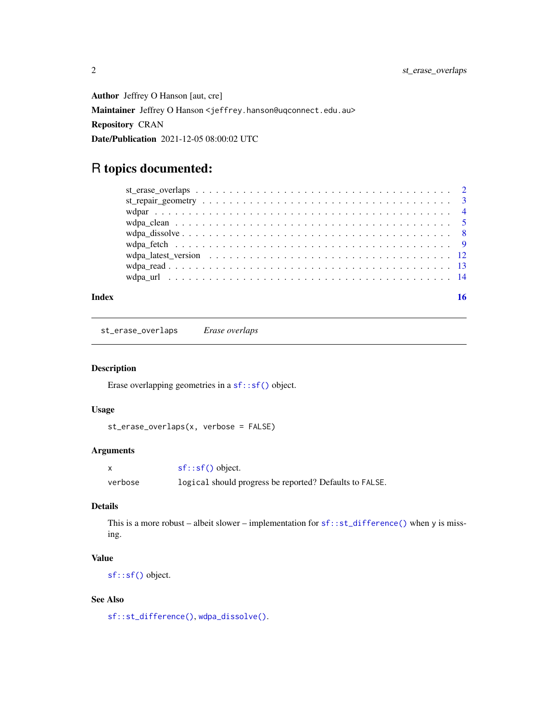<span id="page-1-0"></span>Author Jeffrey O Hanson [aut, cre] Maintainer Jeffrey O Hanson <jeffrey.hanson@uqconnect.edu.au> Repository CRAN Date/Publication 2021-12-05 08:00:02 UTC

## R topics documented:

| $wdpa\_dissolve \ldots \ldots \ldots \ldots \ldots \ldots \ldots \ldots \ldots \ldots \ldots \ldots \ldots$ |  |
|-------------------------------------------------------------------------------------------------------------|--|
|                                                                                                             |  |
|                                                                                                             |  |
|                                                                                                             |  |
|                                                                                                             |  |
|                                                                                                             |  |

#### **Index** the contract of the contract of the contract of the contract of the contract of the contract of the contract of the contract of the contract of the contract of the contract of the contract of the contract of the co

<span id="page-1-1"></span>st\_erase\_overlaps *Erase overlaps*

## Description

Erase overlapping geometries in a [sf::sf\(\)](#page-0-0) object.

## Usage

```
st_erase_overlaps(x, verbose = FALSE)
```
## Arguments

|         | $sf::sf()$ object.                                      |
|---------|---------------------------------------------------------|
| verbose | logical should progress be reported? Defaults to FALSE. |

## Details

This is a more robust – albeit slower – implementation for  $sf::st\_difference()$  when y is missing.

## Value

[sf::sf\(\)](#page-0-0) object.

## See Also

[sf::st\\_difference\(\)](#page-0-0), [wdpa\\_dissolve\(\)](#page-7-1).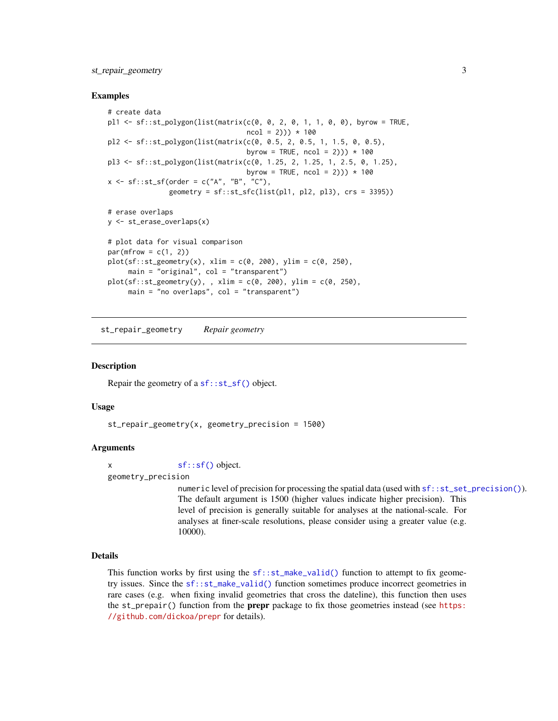## <span id="page-2-0"></span>st\_repair\_geometry 3

#### Examples

```
# create data
pl1 <- sf::st_polygon(list(matrix(c(0, 0, 2, 0, 1, 1, 0, 0), byrow = TRUE,
                                   ncol = 2)) * 100
pl2 <- sf::st_polygon(list(matrix(c(0, 0.5, 2, 0.5, 1, 1.5, 0, 0.5),
                                   byrow = TRUE, ncol = 2)) * 100
pl3 <- sf::st_polygon(list(matrix(c(0, 1.25, 2, 1.25, 1, 2.5, 0, 1.25),
                                   byrow = TRUE, ncol = 2)) * 100
x \leq -sf:st_sf(order = c("A", "B", "C"),geometry = sf::st_sfc(list(p11, p12, p13), crs = 3395))# erase overlaps
y <- st_erase_overlaps(x)
# plot data for visual comparison
par(mfrow = c(1, 2))plot(sf::st\_geometry(x), xlim = c(0, 200), ylim = c(0, 250),main = "original", col = "transparent")plot(sf::st\_geometry(y),, xlim = c(\emptyset, 200), ylim = c(\emptyset, 250),
     main = "no overlaps", col = "transparent")
```
<span id="page-2-1"></span>st\_repair\_geometry *Repair geometry*

#### Description

Repair the geometry of a sf:: st\_sf() object.

#### Usage

st\_repair\_geometry(x, geometry\_precision = 1500)

#### Arguments

x [sf::sf\(\)](#page-0-0) object.

#### geometry\_precision

numeric level of precision for processing the spatial data (used with  $sf::st_set\_precision()$ ). The default argument is 1500 (higher values indicate higher precision). This level of precision is generally suitable for analyses at the national-scale. For analyses at finer-scale resolutions, please consider using a greater value (e.g. 10000).

## Details

This function works by first using the  $sf::st\_make\_valid()$  function to attempt to fix geometry issues. Since the [sf::st\\_make\\_valid\(\)](#page-0-0) function sometimes produce incorrect geometries in rare cases (e.g. when fixing invalid geometries that cross the dateline), this function then uses the st\_prepair() function from the **prepr** package to fix those geometries instead (see [https:](https://github.com/dickoa/prepr) [//github.com/dickoa/prepr](https://github.com/dickoa/prepr) for details).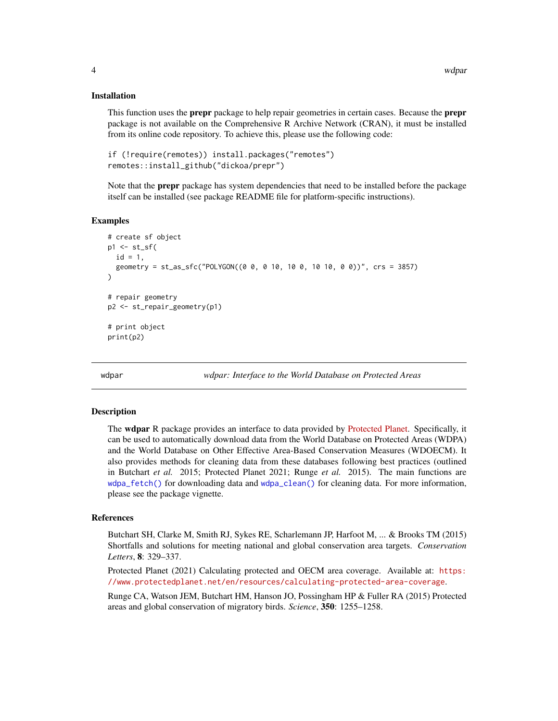#### Installation

This function uses the prepr package to help repair geometries in certain cases. Because the prepr package is not available on the Comprehensive R Archive Network (CRAN), it must be installed from its online code repository. To achieve this, please use the following code:

```
if (!require(remotes)) install.packages("remotes")
remotes::install_github("dickoa/prepr")
```
Note that the **prepr** package has system dependencies that need to be installed before the package itself can be installed (see package README file for platform-specific instructions).

#### Examples

```
# create sf object
p1 \leftarrow st\_sfid = 1,
  geometry = st\_as\_sfc("POLYGON((0 0, 0 10, 10 0, 10 10, 0 0))", crs = 3857)\lambda# repair geometry
p2 <- st_repair_geometry(p1)
# print object
print(p2)
```
wdpar *wdpar: Interface to the World Database on Protected Areas*

#### Description

The wdpar R package provides an interface to data provided by [Protected Planet.](https://www.protectedplanet.net/en) Specifically, it can be used to automatically download data from the World Database on Protected Areas (WDPA) and the World Database on Other Effective Area-Based Conservation Measures (WDOECM). It also provides methods for cleaning data from these databases following best practices (outlined in Butchart *et al.* 2015; Protected Planet 2021; Runge *et al.* 2015). The main functions are [wdpa\\_fetch\(\)](#page-8-1) for downloading data and [wdpa\\_clean\(\)](#page-4-1) for cleaning data. For more information, please see the package vignette.

#### References

Butchart SH, Clarke M, Smith RJ, Sykes RE, Scharlemann JP, Harfoot M, ... & Brooks TM (2015) Shortfalls and solutions for meeting national and global conservation area targets. *Conservation Letters*, 8: 329–337.

Protected Planet (2021) Calculating protected and OECM area coverage. Available at: [https:](https://www.protectedplanet.net/en/resources/calculating-protected-area-coverage) [//www.protectedplanet.net/en/resources/calculating-protected-area-coverage](https://www.protectedplanet.net/en/resources/calculating-protected-area-coverage).

Runge CA, Watson JEM, Butchart HM, Hanson JO, Possingham HP & Fuller RA (2015) Protected areas and global conservation of migratory birds. *Science*, 350: 1255–1258.

<span id="page-3-0"></span>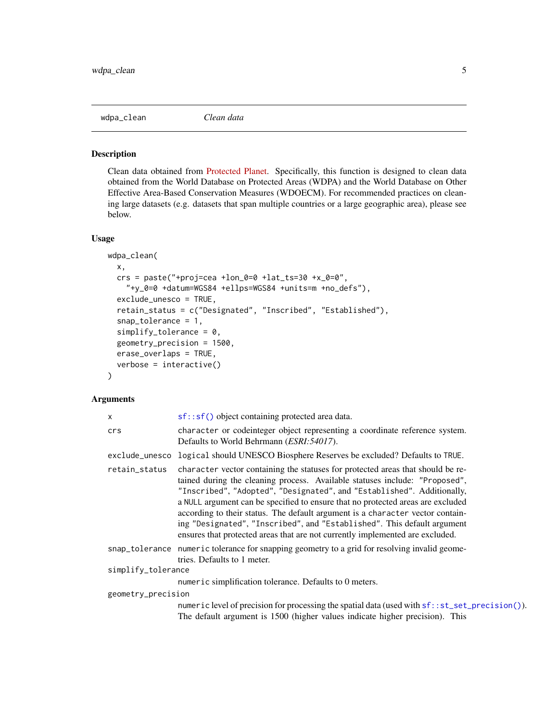<span id="page-4-1"></span><span id="page-4-0"></span>

#### Description

Clean data obtained from [Protected Planet.](https://www.protectedplanet.net/en) Specifically, this function is designed to clean data obtained from the World Database on Protected Areas (WDPA) and the World Database on Other Effective Area-Based Conservation Measures (WDOECM). For recommended practices on cleaning large datasets (e.g. datasets that span multiple countries or a large geographic area), please see below.

## Usage

```
wdpa_clean(
  x,
  crs = paste("+proj=cea +lon_0=0 +lat_ts=30 +x_0=0","+y_0=0 +datum=WGS84 +ellps=WGS84 +units=m +no_defs"),
  exclude_unesco = TRUE,
  retain_status = c("Designated", "Inscribed", "Established"),
  snap_tolerance = 1,
  simplify\_tolerance = 0,
  geometry_precision = 1500,
  erase_overlaps = TRUE,
  verbose = interactive())
```
#### Arguments

| X                  | $sf::sf()$ object containing protected area data.                                                                                                                                                                                                                                                                                                                                                                                                                                                                                                                         |
|--------------------|---------------------------------------------------------------------------------------------------------------------------------------------------------------------------------------------------------------------------------------------------------------------------------------------------------------------------------------------------------------------------------------------------------------------------------------------------------------------------------------------------------------------------------------------------------------------------|
| crs                | character or codeinteger object representing a coordinate reference system.<br>Defaults to World Behrmann ( <i>ESRI:54017</i> ).                                                                                                                                                                                                                                                                                                                                                                                                                                          |
|                    | exclude_unesco logical should UNESCO Biosphere Reserves be excluded? Defaults to TRUE.                                                                                                                                                                                                                                                                                                                                                                                                                                                                                    |
| retain_status      | character vector containing the statuses for protected areas that should be re-<br>tained during the cleaning process. Available statuses include: "Proposed",<br>"Inscribed", "Adopted", "Designated", and "Established". Additionally,<br>a NULL argument can be specified to ensure that no protected areas are excluded<br>according to their status. The default argument is a character vector contain-<br>ing "Designated", "Inscribed", and "Established". This default argument<br>ensures that protected areas that are not currently implemented are excluded. |
|                    | snap_tolerance numeric tolerance for snapping geometry to a grid for resolving invalid geome-<br>tries. Defaults to 1 meter.                                                                                                                                                                                                                                                                                                                                                                                                                                              |
| simplify_tolerance |                                                                                                                                                                                                                                                                                                                                                                                                                                                                                                                                                                           |
|                    | numeric simplification tolerance. Defaults to 0 meters.                                                                                                                                                                                                                                                                                                                                                                                                                                                                                                                   |
| geometry_precision |                                                                                                                                                                                                                                                                                                                                                                                                                                                                                                                                                                           |
|                    | numeric level of precision for processing the spatial data (used with $sf::st_set\_precision()$ ).<br>The default argument is 1500 (higher values indicate higher precision). This                                                                                                                                                                                                                                                                                                                                                                                        |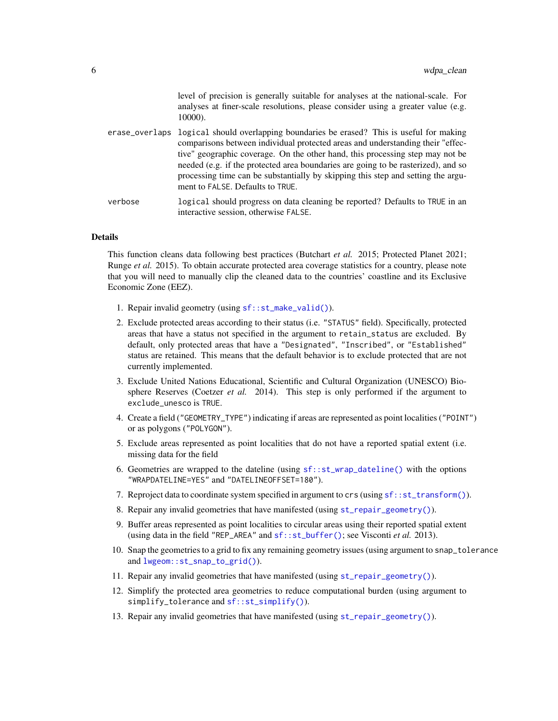level of precision is generally suitable for analyses at the national-scale. For analyses at finer-scale resolutions, please consider using a greater value (e.g. 10000).

- <span id="page-5-0"></span>erase\_overlaps logical should overlapping boundaries be erased? This is useful for making comparisons between individual protected areas and understanding their "effective" geographic coverage. On the other hand, this processing step may not be needed (e.g. if the protected area boundaries are going to be rasterized), and so processing time can be substantially by skipping this step and setting the argument to FALSE. Defaults to TRUE.
- verbose logical should progress on data cleaning be reported? Defaults to TRUE in an interactive session, otherwise FALSE.

#### Details

This function cleans data following best practices (Butchart *et al.* 2015; Protected Planet 2021; Runge *et al.* 2015). To obtain accurate protected area coverage statistics for a country, please note that you will need to manually clip the cleaned data to the countries' coastline and its Exclusive Economic Zone (EEZ).

- 1. Repair invalid geometry (using [sf::st\\_make\\_valid\(\)](#page-0-0)).
- 2. Exclude protected areas according to their status (i.e. "STATUS" field). Specifically, protected areas that have a status not specified in the argument to retain\_status are excluded. By default, only protected areas that have a "Designated", "Inscribed", or "Established" status are retained. This means that the default behavior is to exclude protected that are not currently implemented.
- 3. Exclude United Nations Educational, Scientific and Cultural Organization (UNESCO) Biosphere Reserves (Coetzer *et al.* 2014). This step is only performed if the argument to exclude\_unesco is TRUE.
- 4. Create a field ("GEOMETRY\_TYPE") indicating if areas are represented as point localities ("POINT") or as polygons ("POLYGON").
- 5. Exclude areas represented as point localities that do not have a reported spatial extent (i.e. missing data for the field
- 6. Geometries are wrapped to the dateline (using  $sf::st\_wrap\_dateline()$  with the options "WRAPDATELINE=YES" and "DATELINEOFFSET=180").
- 7. Reproject data to coordinate system specified in argument to crs (using [sf::st\\_transform\(\)](#page-0-0)).
- 8. Repair any invalid geometries that have manifested (using [st\\_repair\\_geometry\(\)](#page-2-1)).
- 9. Buffer areas represented as point localities to circular areas using their reported spatial extent (using data in the field "REP\_AREA" and [sf::st\\_buffer\(\)](#page-0-0); see Visconti *et al.* 2013).
- 10. Snap the geometries to a grid to fix any remaining geometry issues (using argument to snap\_tolerance and [lwgeom::st\\_snap\\_to\\_grid\(\)](#page-0-0)).
- 11. Repair any invalid geometries that have manifested (using [st\\_repair\\_geometry\(\)](#page-2-1)).
- 12. Simplify the protected area geometries to reduce computational burden (using argument to simplify\_tolerance and [sf::st\\_simplify\(\)](#page-0-0)).
- 13. Repair any invalid geometries that have manifested (using [st\\_repair\\_geometry\(\)](#page-2-1)).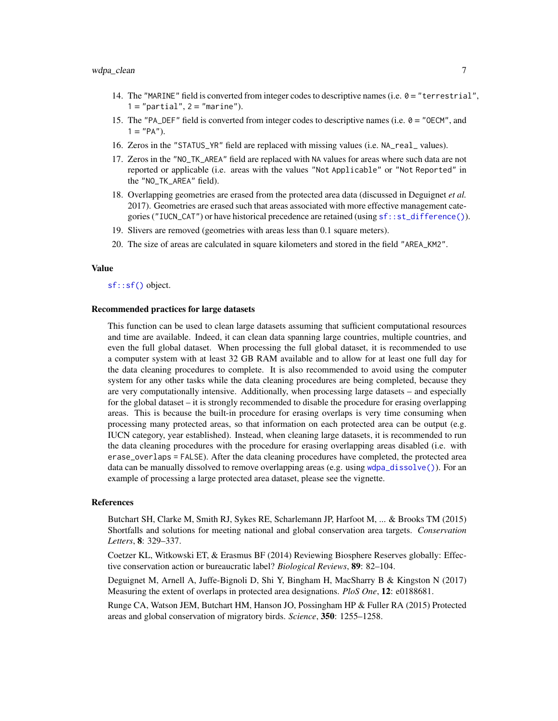- <span id="page-6-0"></span>14. The "MARINE" field is converted from integer codes to descriptive names (i.e. 0 = "terrestrial",  $1 = "partial", 2 = "marine").$
- 15. The "PA\_DEF" field is converted from integer codes to descriptive names (i.e.  $0 =$  "OECM", and  $1 = "PA".$
- 16. Zeros in the "STATUS\_YR" field are replaced with missing values (i.e. NA\_real\_ values).
- 17. Zeros in the "NO\_TK\_AREA" field are replaced with NA values for areas where such data are not reported or applicable (i.e. areas with the values "Not Applicable" or "Not Reported" in the "NO\_TK\_AREA" field).
- 18. Overlapping geometries are erased from the protected area data (discussed in Deguignet *et al.* 2017). Geometries are erased such that areas associated with more effective management categories ("IUCN\_CAT") or have historical precedence are retained (using  $sf::st\_difference()$ ).
- 19. Slivers are removed (geometries with areas less than 0.1 square meters).
- 20. The size of areas are calculated in square kilometers and stored in the field "AREA\_KM2".

#### Value

[sf::sf\(\)](#page-0-0) object.

#### Recommended practices for large datasets

This function can be used to clean large datasets assuming that sufficient computational resources and time are available. Indeed, it can clean data spanning large countries, multiple countries, and even the full global dataset. When processing the full global dataset, it is recommended to use a computer system with at least 32 GB RAM available and to allow for at least one full day for the data cleaning procedures to complete. It is also recommended to avoid using the computer system for any other tasks while the data cleaning procedures are being completed, because they are very computationally intensive. Additionally, when processing large datasets – and especially for the global dataset – it is strongly recommended to disable the procedure for erasing overlapping areas. This is because the built-in procedure for erasing overlaps is very time consuming when processing many protected areas, so that information on each protected area can be output (e.g. IUCN category, year established). Instead, when cleaning large datasets, it is recommended to run the data cleaning procedures with the procedure for erasing overlapping areas disabled (i.e. with erase\_overlaps = FALSE). After the data cleaning procedures have completed, the protected area data can be manually dissolved to remove overlapping areas (e.g. using  $\alpha$ deleded  $\alpha$ ). For an example of processing a large protected area dataset, please see the vignette.

#### References

Butchart SH, Clarke M, Smith RJ, Sykes RE, Scharlemann JP, Harfoot M, ... & Brooks TM (2015) Shortfalls and solutions for meeting national and global conservation area targets. *Conservation Letters*, 8: 329–337.

Coetzer KL, Witkowski ET, & Erasmus BF (2014) Reviewing Biosphere Reserves globally: Effective conservation action or bureaucratic label? *Biological Reviews*, 89: 82–104.

Deguignet M, Arnell A, Juffe-Bignoli D, Shi Y, Bingham H, MacSharry B & Kingston N (2017) Measuring the extent of overlaps in protected area designations. *PloS One*, 12: e0188681.

Runge CA, Watson JEM, Butchart HM, Hanson JO, Possingham HP & Fuller RA (2015) Protected areas and global conservation of migratory birds. *Science*, 350: 1255–1258.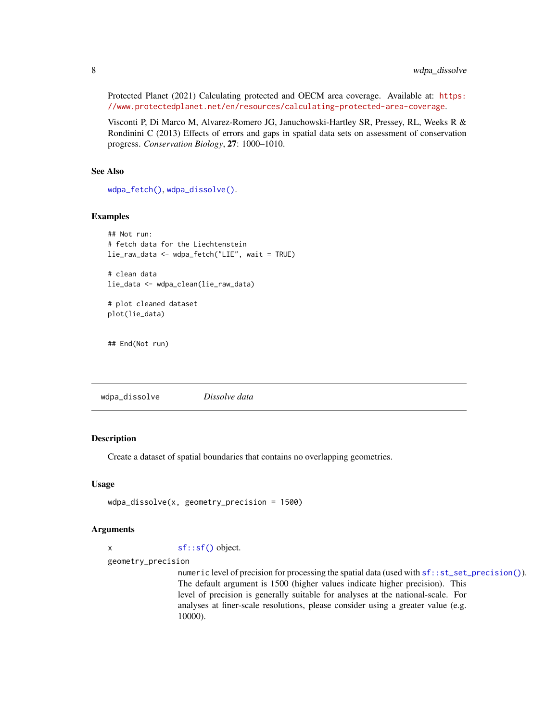Protected Planet (2021) Calculating protected and OECM area coverage. Available at: [https:](https://www.protectedplanet.net/en/resources/calculating-protected-area-coverage) [//www.protectedplanet.net/en/resources/calculating-protected-area-coverage](https://www.protectedplanet.net/en/resources/calculating-protected-area-coverage).

Visconti P, Di Marco M, Alvarez-Romero JG, Januchowski-Hartley SR, Pressey, RL, Weeks R & Rondinini C (2013) Effects of errors and gaps in spatial data sets on assessment of conservation progress. *Conservation Biology*, 27: 1000–1010.

## See Also

[wdpa\\_fetch\(\)](#page-8-1), [wdpa\\_dissolve\(\)](#page-7-1).

#### Examples

```
## Not run:
# fetch data for the Liechtenstein
lie_raw_data <- wdpa_fetch("LIE", wait = TRUE)
# clean data
lie_data <- wdpa_clean(lie_raw_data)
# plot cleaned dataset
```
## End(Not run)

plot(lie\_data)

<span id="page-7-1"></span>wdpa\_dissolve *Dissolve data*

#### Description

Create a dataset of spatial boundaries that contains no overlapping geometries.

#### Usage

```
wdpa_dissolve(x, geometry_precision = 1500)
```
#### Arguments

x [sf::sf\(\)](#page-0-0) object.

geometry\_precision

numeric level of precision for processing the spatial data (used with  $sf::st_set\_precision()$ ). The default argument is 1500 (higher values indicate higher precision). This level of precision is generally suitable for analyses at the national-scale. For analyses at finer-scale resolutions, please consider using a greater value (e.g. 10000).

<span id="page-7-0"></span>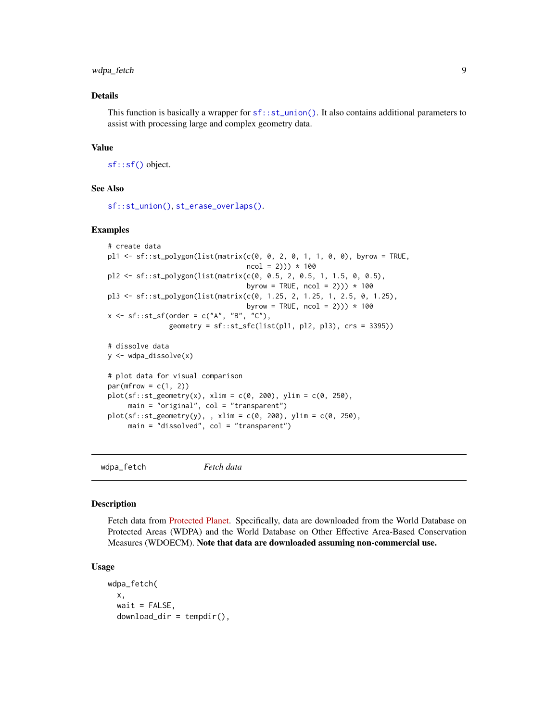## <span id="page-8-0"></span>wdpa\_fetch 9

#### Details

This function is basically a wrapper for  $sf::st\_union()$ . It also contains additional parameters to assist with processing large and complex geometry data.

#### Value

[sf::sf\(\)](#page-0-0) object.

#### See Also

[sf::st\\_union\(\)](#page-0-0), [st\\_erase\\_overlaps\(\)](#page-1-1).

#### Examples

```
# create data
pl1 <- sf::st_polygon(list(matrix(c(0, 0, 2, 0, 1, 1, 0, 0), byrow = TRUE,
                                   ncol = 2)) * 100pl2 <- sf::st_polygon(list(matrix(c(0, 0.5, 2, 0.5, 1, 1.5, 0, 0.5),
                                   byrow = TRUE, ncol = 2)) * 100
pl3 <- sf::st_polygon(list(matrix(c(0, 1.25, 2, 1.25, 1, 2.5, 0, 1.25),
                                  byrow = TRUE, ncol = 2)) * 100
x \leq -sf:st\_sf(order = c("A", "B", "C"),geometry = sf::st_sfc(list(pl1, pl2, pl3), crs = 3395))
# dissolve data
y <- wdpa_dissolve(x)
# plot data for visual comparison
par(mfrow = c(1, 2))plot(sf::st\_geometry(x), xlim = c(0, 200), ylim = c(0, 250),main = "original", col = "transparent")
plot(sf::st\_geometry(y),, xlim = c(\emptyset, 200), ylim = c(\emptyset, 250),
     main = "dissolved", col = "transparent")
```
<span id="page-8-1"></span>wdpa\_fetch *Fetch data*

#### Description

Fetch data from [Protected Planet.](https://www.protectedplanet.net/en) Specifically, data are downloaded from the World Database on Protected Areas (WDPA) and the World Database on Other Effective Area-Based Conservation Measures (WDOECM). Note that data are downloaded assuming non-commercial use.

#### Usage

```
wdpa_fetch(
  x,
  wait = FALSE,download\_dir = tempdir(),
```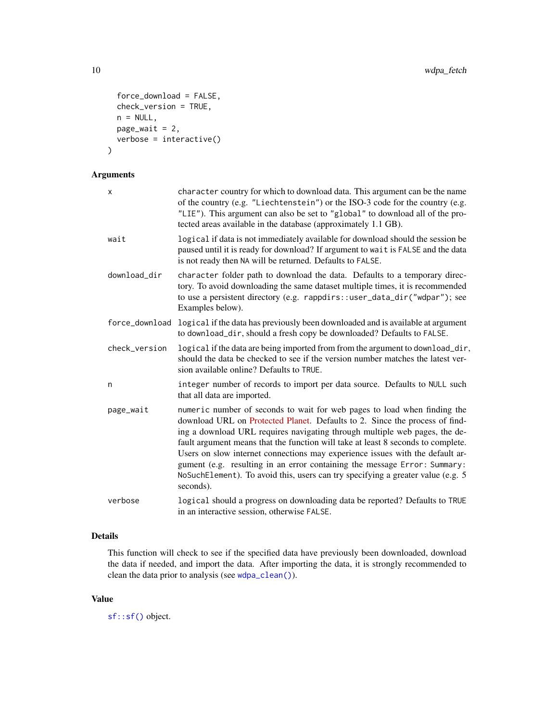```
force_download = FALSE,
 check_version = TRUE,
 n = NULL,page\_wait = 2,
 verbose = interactive()
)
```
## Arguments

| X              | character country for which to download data. This argument can be the name<br>of the country (e.g. "Liechtenstein") or the ISO-3 code for the country (e.g.<br>"LIE"). This argument can also be set to "global" to download all of the pro-<br>tected areas available in the database (approximately 1.1 GB).                                                                                                                                                                                                                                                                         |
|----------------|-----------------------------------------------------------------------------------------------------------------------------------------------------------------------------------------------------------------------------------------------------------------------------------------------------------------------------------------------------------------------------------------------------------------------------------------------------------------------------------------------------------------------------------------------------------------------------------------|
| wait           | logical if data is not immediately available for download should the session be<br>paused until it is ready for download? If argument to wait is FALSE and the data<br>is not ready then NA will be returned. Defaults to FALSE.                                                                                                                                                                                                                                                                                                                                                        |
| download_dir   | character folder path to download the data. Defaults to a temporary direc-<br>tory. To avoid downloading the same dataset multiple times, it is recommended<br>to use a persistent directory (e.g. rappdirs::user_data_dir("wdpar"); see<br>Examples below).                                                                                                                                                                                                                                                                                                                            |
| force_download | logical if the data has previously been downloaded and is available at argument<br>to download_dir, should a fresh copy be downloaded? Defaults to FALSE.                                                                                                                                                                                                                                                                                                                                                                                                                               |
| check_version  | logical if the data are being imported from from the argument to download_dir,<br>should the data be checked to see if the version number matches the latest ver-<br>sion available online? Defaults to TRUE.                                                                                                                                                                                                                                                                                                                                                                           |
| n              | integer number of records to import per data source. Defaults to NULL such<br>that all data are imported.                                                                                                                                                                                                                                                                                                                                                                                                                                                                               |
| page_wait      | numeric number of seconds to wait for web pages to load when finding the<br>download URL on Protected Planet. Defaults to 2. Since the process of find-<br>ing a download URL requires navigating through multiple web pages, the de-<br>fault argument means that the function will take at least 8 seconds to complete.<br>Users on slow internet connections may experience issues with the default ar-<br>gument (e.g. resulting in an error containing the message Error: Summary:<br>NoSuchElement). To avoid this, users can try specifying a greater value (e.g. 5<br>seconds). |
| verbose        | logical should a progress on downloading data be reported? Defaults to TRUE<br>in an interactive session, otherwise FALSE.                                                                                                                                                                                                                                                                                                                                                                                                                                                              |

## Details

This function will check to see if the specified data have previously been downloaded, download the data if needed, and import the data. After importing the data, it is strongly recommended to clean the data prior to analysis (see [wdpa\\_clean\(\)](#page-4-1)).

## Value

[sf::sf\(\)](#page-0-0) object.

<span id="page-9-0"></span>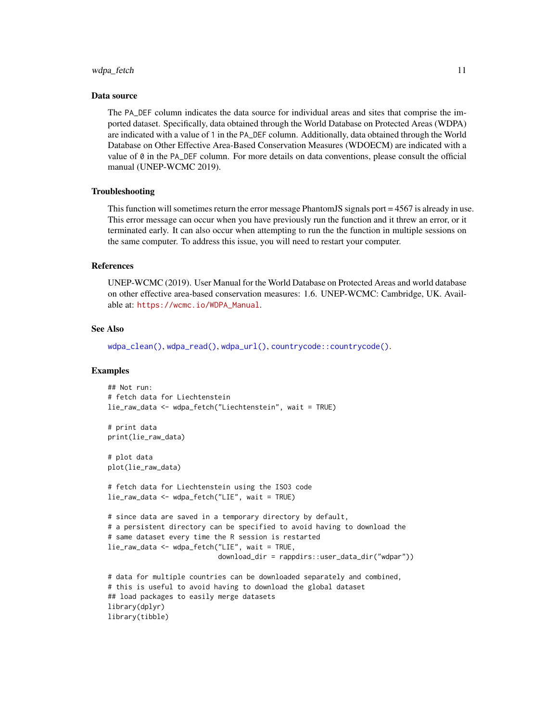#### <span id="page-10-0"></span>wdpa\_fetch 11

#### Data source

The PA\_DEF column indicates the data source for individual areas and sites that comprise the imported dataset. Specifically, data obtained through the World Database on Protected Areas (WDPA) are indicated with a value of 1 in the PA\_DEF column. Additionally, data obtained through the World Database on Other Effective Area-Based Conservation Measures (WDOECM) are indicated with a value of 0 in the PA\_DEF column. For more details on data conventions, please consult the official manual (UNEP-WCMC 2019).

#### Troubleshooting

This function will sometimes return the error message PhantomJS signals port = 4567 is already in use. This error message can occur when you have previously run the function and it threw an error, or it terminated early. It can also occur when attempting to run the the function in multiple sessions on the same computer. To address this issue, you will need to restart your computer.

#### References

UNEP-WCMC (2019). User Manual for the World Database on Protected Areas and world database on other effective area-based conservation measures: 1.6. UNEP-WCMC: Cambridge, UK. Available at: [https://wcmc.io/WDPA\\_Manual](https://wcmc.io/WDPA_Manual).

#### See Also

[wdpa\\_clean\(\)](#page-4-1), [wdpa\\_read\(\)](#page-12-1), [wdpa\\_url\(\)](#page-13-1), [countrycode::countrycode\(\)](#page-0-0).

#### Examples

```
## Not run:
# fetch data for Liechtenstein
lie_raw_data <- wdpa_fetch("Liechtenstein", wait = TRUE)
# print data
print(lie_raw_data)
# plot data
plot(lie_raw_data)
# fetch data for Liechtenstein using the ISO3 code
lie_raw_data <- wdpa_fetch("LIE", wait = TRUE)
# since data are saved in a temporary directory by default,
# a persistent directory can be specified to avoid having to download the
# same dataset every time the R session is restarted
lie_raw_data <- wdpa_fetch("LIE", wait = TRUE,
                           download_dir = rappdirs::user_data_dir("wdpar"))
# data for multiple countries can be downloaded separately and combined,
# this is useful to avoid having to download the global dataset
## load packages to easily merge datasets
library(dplyr)
library(tibble)
```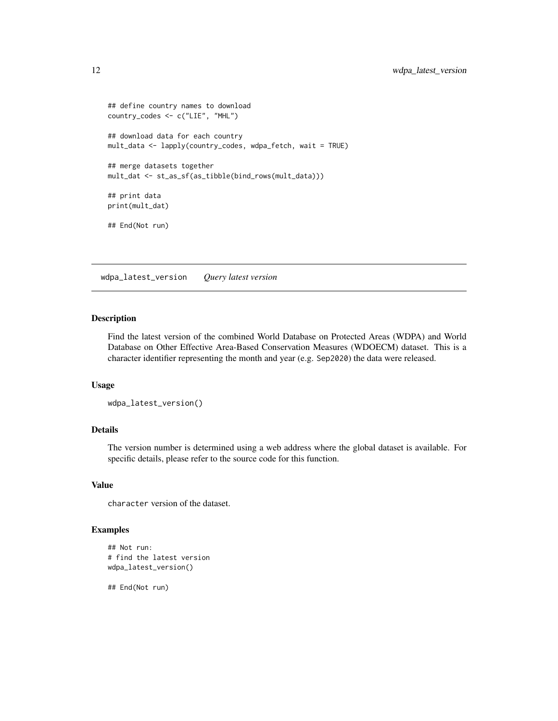```
## define country names to download
country_codes <- c("LIE", "MHL")
## download data for each country
mult_data <- lapply(country_codes, wdpa_fetch, wait = TRUE)
## merge datasets together
mult_dat <- st_as_sf(as_tibble(bind_rows(mult_data)))
## print data
print(mult_dat)
## End(Not run)
```
wdpa\_latest\_version *Query latest version*

## Description

Find the latest version of the combined World Database on Protected Areas (WDPA) and World Database on Other Effective Area-Based Conservation Measures (WDOECM) dataset. This is a character identifier representing the month and year (e.g. Sep2020) the data were released.

### Usage

```
wdpa_latest_version()
```
## Details

The version number is determined using a web address where the global dataset is available. For specific details, please refer to the source code for this function.

#### Value

character version of the dataset.

## Examples

```
## Not run:
# find the latest version
wdpa_latest_version()
```
## End(Not run)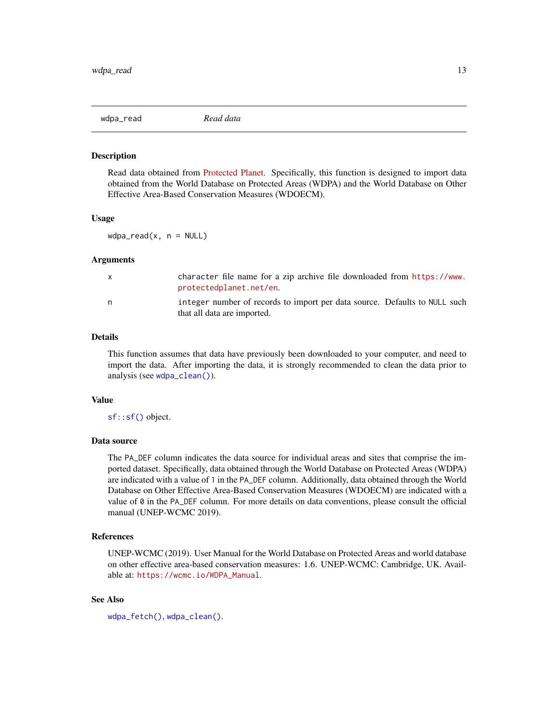<span id="page-12-1"></span><span id="page-12-0"></span>

#### Description

Read data obtained from [Protected Planet.](https://www.protectedplanet.net/en) Specifically, this function is designed to import data obtained from the World Database on Protected Areas (WDPA) and the World Database on Other Effective Area-Based Conservation Measures (WDOECM).

#### Usage

 $wdpa_{real}(x, n = NULL)$ 

#### Arguments

| X | character file name for a zip archive file downloaded from https://www.<br>protectedplanet.net/en.        |
|---|-----------------------------------------------------------------------------------------------------------|
| n | integer number of records to import per data source. Defaults to NULL such<br>that all data are imported. |

## Details

This function assumes that data have previously been downloaded to your computer, and need to import the data. After importing the data, it is strongly recommended to clean the data prior to analysis (see [wdpa\\_clean\(\)](#page-4-1)).

## Value

[sf::sf\(\)](#page-0-0) object.

## Data source

The PA\_DEF column indicates the data source for individual areas and sites that comprise the imported dataset. Specifically, data obtained through the World Database on Protected Areas (WDPA) are indicated with a value of 1 in the PA\_DEF column. Additionally, data obtained through the World Database on Other Effective Area-Based Conservation Measures (WDOECM) are indicated with a value of 0 in the PA\_DEF column. For more details on data conventions, please consult the official manual (UNEP-WCMC 2019).

## References

UNEP-WCMC (2019). User Manual for the World Database on Protected Areas and world database on other effective area-based conservation measures: 1.6. UNEP-WCMC: Cambridge, UK. Available at: [https://wcmc.io/WDPA\\_Manual](https://wcmc.io/WDPA_Manual).

## See Also

[wdpa\\_fetch\(\)](#page-8-1), [wdpa\\_clean\(\)](#page-4-1).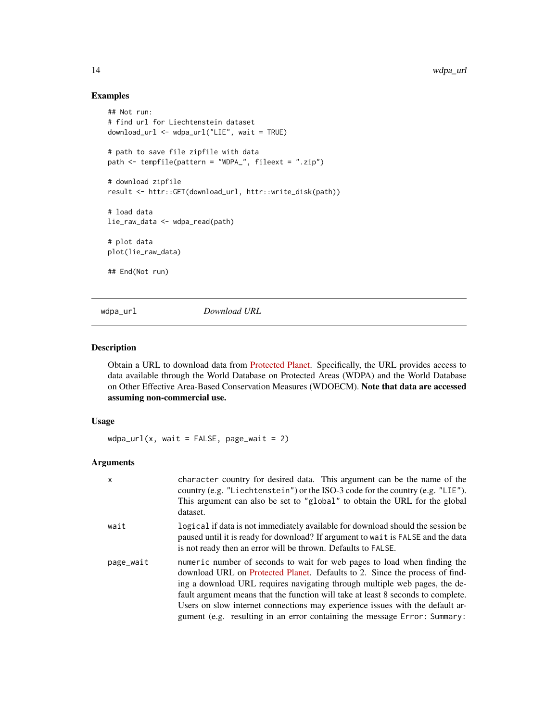## Examples

```
## Not run:
# find url for Liechtenstein dataset
download_url <- wdpa_url("LIE", wait = TRUE)
# path to save file zipfile with data
path <- tempfile(pattern = "WDPA_", fileext = ".zip")
# download zipfile
result <- httr::GET(download_url, httr::write_disk(path))
# load data
lie_raw_data <- wdpa_read(path)
# plot data
plot(lie_raw_data)
## End(Not run)
```
<span id="page-13-1"></span>

wdpa\_url *Download URL*

#### Description

Obtain a URL to download data from [Protected Planet.](https://www.protectedplanet.net/en) Specifically, the URL provides access to data available through the World Database on Protected Areas (WDPA) and the World Database on Other Effective Area-Based Conservation Measures (WDOECM). Note that data are accessed assuming non-commercial use.

## Usage

 $wdpa\_url(x, wait = FALSE, page\_wait = 2)$ 

#### Arguments

| $\times$  | character country for desired data. This argument can be the name of the<br>country (e.g. "Liechtenstein") or the ISO-3 code for the country (e.g. "LIE").<br>This argument can also be set to "global" to obtain the URL for the global<br>dataset.                                                                                                                                                                                                                                    |
|-----------|-----------------------------------------------------------------------------------------------------------------------------------------------------------------------------------------------------------------------------------------------------------------------------------------------------------------------------------------------------------------------------------------------------------------------------------------------------------------------------------------|
| wait      | logical if data is not immediately available for download should the session be<br>paused until it is ready for download? If argument to wait is FALSE and the data<br>is not ready then an error will be thrown. Defaults to FALSE.                                                                                                                                                                                                                                                    |
| page_wait | numeric number of seconds to wait for web pages to load when finding the<br>download URL on Protected Planet. Defaults to 2. Since the process of find-<br>ing a download URL requires navigating through multiple web pages, the de-<br>fault argument means that the function will take at least 8 seconds to complete.<br>Users on slow internet connections may experience issues with the default ar-<br>gument (e.g. resulting in an error containing the message Error: Summary: |

<span id="page-13-0"></span>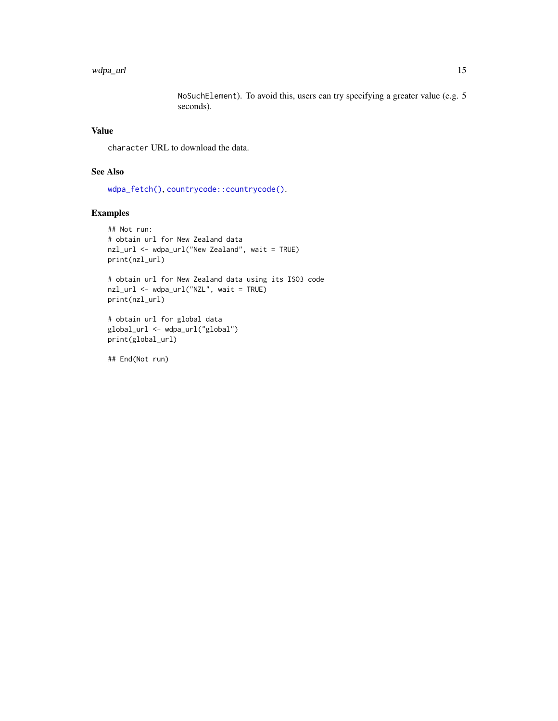#### <span id="page-14-0"></span>wdpa\_url 15

NoSuchElement). To avoid this, users can try specifying a greater value (e.g. 5 seconds).

## Value

character URL to download the data.

## See Also

[wdpa\\_fetch\(\)](#page-8-1), [countrycode::countrycode\(\)](#page-0-0).

## Examples

```
## Not run:
# obtain url for New Zealand data
nzl_url <- wdpa_url("New Zealand", wait = TRUE)
print(nzl_url)
# obtain url for New Zealand data using its ISO3 code
nzl_url <- wdpa_url("NZL", wait = TRUE)
print(nzl_url)
```

```
# obtain url for global data
global_url <- wdpa_url("global")
print(global_url)
```
## End(Not run)